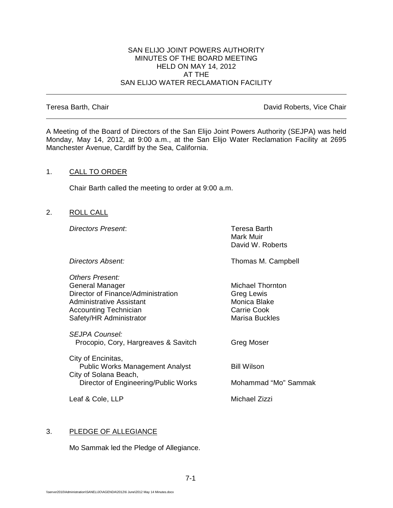## SAN ELIJO JOINT POWERS AUTHORITY MINUTES OF THE BOARD MEETING HELD ON MAY 14, 2012 AT THE SAN ELIJO WATER RECLAMATION FACILITY

Teresa Barth, Chair **David Roberts, Vice Chair David Roberts, Vice Chair** 

A Meeting of the Board of Directors of the San Elijo Joint Powers Authority (SEJPA) was held Monday, May 14, 2012, at 9:00 a.m., at the San Elijo Water Reclamation Facility at 2695 Manchester Avenue, Cardiff by the Sea, California.

# 1. CALL TO ORDER

Chair Barth called the meeting to order at 9:00 a.m.

2. ROLL CALL

**Directors Present:** Teresa Barth

Mark Muir David W. Roberts

| Directors Absent:                                               | Thomas M. Campbell      |
|-----------------------------------------------------------------|-------------------------|
| Others Present:                                                 |                         |
| General Manager                                                 | <b>Michael Thornton</b> |
| Director of Finance/Administration                              | <b>Greg Lewis</b>       |
| Administrative Assistant                                        | Monica Blake            |
| <b>Accounting Technician</b>                                    | <b>Carrie Cook</b>      |
| Safety/HR Administrator                                         | <b>Marisa Buckles</b>   |
| <b>SEJPA Counsel:</b>                                           |                         |
| Procopio, Cory, Hargreaves & Savitch                            | <b>Greg Moser</b>       |
|                                                                 |                         |
| City of Encinitas,                                              |                         |
| <b>Public Works Management Analyst</b><br>City of Solana Beach, | <b>Bill Wilson</b>      |
| Director of Engineering/Public Works                            | Mohammad "Mo" Sammak    |
|                                                                 |                         |
| Leaf & Cole, LLP                                                | Michael Zizzi           |

# 3. PLEDGE OF ALLEGIANCE

Mo Sammak led the Pledge of Allegiance.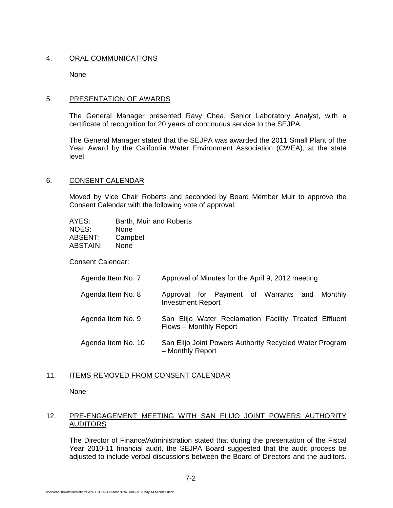# 4. ORAL COMMUNICATIONS

None

# 5. PRESENTATION OF AWARDS

The General Manager presented Ravy Chea, Senior Laboratory Analyst, with a certificate of recognition for 20 years of continuous service to the SEJPA.

The General Manager stated that the SEJPA was awarded the 2011 Small Plant of the Year Award by the California Water Environment Association (CWEA), at the state level.

# 6. CONSENT CALENDAR

Moved by Vice Chair Roberts and seconded by Board Member Muir to approve the Consent Calendar with the following vote of approval:

| AYES:    | Barth, Muir and Roberts |
|----------|-------------------------|
| NOES:    | None                    |
| ABSENT:  | Campbell                |
| ABSTAIN: | None                    |

Consent Calendar:

| Agenda Item No. 7  | Approval of Minutes for the April 9, 2012 meeting                               |
|--------------------|---------------------------------------------------------------------------------|
| Agenda Item No. 8  | Approval for Payment of Warrants and Monthly<br><b>Investment Report</b>        |
| Agenda Item No. 9  | San Elijo Water Reclamation Facility Treated Effluent<br>Flows - Monthly Report |
| Agenda Item No. 10 | San Elijo Joint Powers Authority Recycled Water Program<br>- Monthly Report     |

# 11. ITEMS REMOVED FROM CONSENT CALENDAR

None

# 12. PRE-ENGAGEMENT MEETING WITH SAN ELIJO JOINT POWERS AUTHORITY AUDITORS

The Director of Finance/Administration stated that during the presentation of the Fiscal Year 2010-11 financial audit, the SEJPA Board suggested that the audit process be adjusted to include verbal discussions between the Board of Directors and the auditors.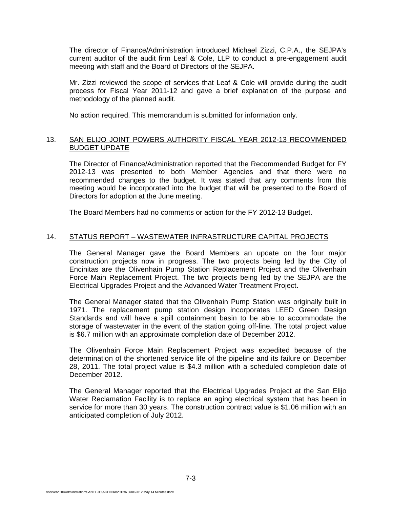The director of Finance/Administration introduced Michael Zizzi, C.P.A., the SEJPA's current auditor of the audit firm Leaf & Cole, LLP to conduct a pre-engagement audit meeting with staff and the Board of Directors of the SEJPA.

Mr. Zizzi reviewed the scope of services that Leaf & Cole will provide during the audit process for Fiscal Year 2011-12 and gave a brief explanation of the purpose and methodology of the planned audit.

No action required. This memorandum is submitted for information only.

## 13. SAN ELIJO JOINT POWERS AUTHORITY FISCAL YEAR 2012-13 RECOMMENDED BUDGET UPDATE

The Director of Finance/Administration reported that the Recommended Budget for FY 2012-13 was presented to both Member Agencies and that there were no recommended changes to the budget. It was stated that any comments from this meeting would be incorporated into the budget that will be presented to the Board of Directors for adoption at the June meeting.

The Board Members had no comments or action for the FY 2012-13 Budget.

# 14. STATUS REPORT – WASTEWATER INFRASTRUCTURE CAPITAL PROJECTS

The General Manager gave the Board Members an update on the four major construction projects now in progress. The two projects being led by the City of Encinitas are the Olivenhain Pump Station Replacement Project and the Olivenhain Force Main Replacement Project. The two projects being led by the SEJPA are the Electrical Upgrades Project and the Advanced Water Treatment Project.

The General Manager stated that the Olivenhain Pump Station was originally built in 1971. The replacement pump station design incorporates LEED Green Design Standards and will have a spill containment basin to be able to accommodate the storage of wastewater in the event of the station going off-line. The total project value is \$6.7 million with an approximate completion date of December 2012.

The Olivenhain Force Main Replacement Project was expedited because of the determination of the shortened service life of the pipeline and its failure on December 28, 2011. The total project value is \$4.3 million with a scheduled completion date of December 2012.

The General Manager reported that the Electrical Upgrades Project at the San Elijo Water Reclamation Facility is to replace an aging electrical system that has been in service for more than 30 years. The construction contract value is \$1.06 million with an anticipated completion of July 2012.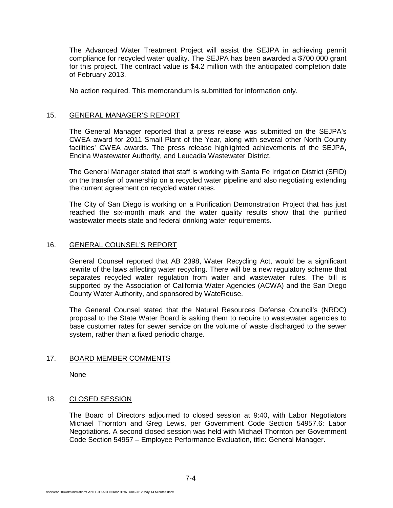The Advanced Water Treatment Project will assist the SEJPA in achieving permit compliance for recycled water quality. The SEJPA has been awarded a \$700,000 grant for this project. The contract value is \$4.2 million with the anticipated completion date of February 2013.

No action required. This memorandum is submitted for information only.

## 15. GENERAL MANAGER'S REPORT

The General Manager reported that a press release was submitted on the SEJPA's CWEA award for 2011 Small Plant of the Year, along with several other North County facilities' CWEA awards. The press release highlighted achievements of the SEJPA, Encina Wastewater Authority, and Leucadia Wastewater District.

The General Manager stated that staff is working with Santa Fe Irrigation District (SFID) on the transfer of ownership on a recycled water pipeline and also negotiating extending the current agreement on recycled water rates.

The City of San Diego is working on a Purification Demonstration Project that has just reached the six-month mark and the water quality results show that the purified wastewater meets state and federal drinking water requirements.

# 16. GENERAL COUNSEL'S REPORT

General Counsel reported that AB 2398, Water Recycling Act, would be a significant rewrite of the laws affecting water recycling. There will be a new regulatory scheme that separates recycled water regulation from water and wastewater rules. The bill is supported by the Association of California Water Agencies (ACWA) and the San Diego County Water Authority, and sponsored by WateReuse.

The General Counsel stated that the Natural Resources Defense Council's (NRDC) proposal to the State Water Board is asking them to require to wastewater agencies to base customer rates for sewer service on the volume of waste discharged to the sewer system, rather than a fixed periodic charge.

## 17. BOARD MEMBER COMMENTS

None

## 18. CLOSED SESSION

The Board of Directors adjourned to closed session at 9:40, with Labor Negotiators Michael Thornton and Greg Lewis, per Government Code Section 54957.6: Labor Negotiations. A second closed session was held with Michael Thornton per Government Code Section 54957 – Employee Performance Evaluation, title: General Manager.